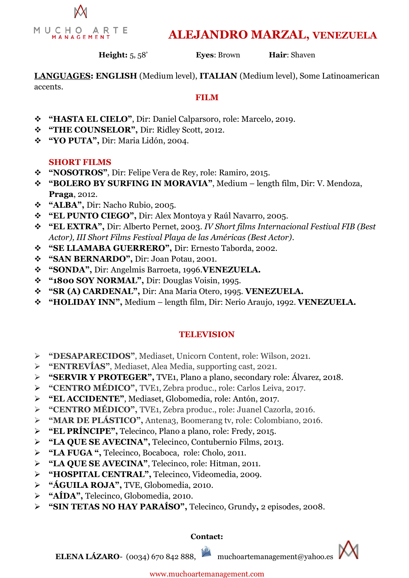

# **ALEJANDRO MARZAL, VENEZUELA**

**Height:** 5, 58' **Eyes**: Brown **Hair**: Shaven

**LANGUAGES: ENGLISH** (Medium level), **ITALIAN** (Medium level), Some Latinoamerican accents.

#### **FILM**

- **"HASTA EL CIELO"**, Dir: Daniel Calparsoro, role: Marcelo, 2019.
- **"THE COUNSELOR",** Dir: Ridley Scott, 2012.
- **"YO PUTA",** Dir: Maria Lidón, 2004.

### **SHORT FILMS**

- **"NOSOTROS"**, Dir: Felipe Vera de Rey, role: Ramiro, 2015.
- **"BOLERO BY SURFING IN MORAVIA"**, Medium length film, Dir: V. Mendoza, **Praga**, 2012.
- **"ALBA",** Dir: Nacho Rubio, 2005.
- **"EL PUNTO CIEGO",** Dir: Alex Montoya y Raúl Navarro, 2005.
- **"EL EXTRA",** Dir: Alberto Pernet, 2003. *IV Short films Internacional Festival FIB (Best Actor), III Short Films Festival Playa de las Américas (Best Actor).*
- **"SE LLAMABA GUERRERO",** Dir: Ernesto Taborda, 2002.
- **"SAN BERNARDO",** Dir: Joan Potau, 2001.
- **"SONDA",** Dir: Angelmis Barroeta, 1996.**VENEZUELA.**
- **"1800 SOY NORMAL",** Dir: Douglas Voisin, 1995.
- **"SR (A) CARDENAL",** Dir: Ana Maria Otero, 1995. **VENEZUELA.**
- **"HOLIDAY INN",** Medium length film, Dir: Nerio Araujo, 1992. **VENEZUELA.**

## **TELEVISION**

- **"DESAPARECIDOS"**, Mediaset, Unicorn Content, role: Wilson, 2021.
- **"ENTREVÍAS"**, Mediaset, Alea Media, supporting cast, 2021.
- **"SERVIR Y PROTEGER",** TVE1, Plano a plano, secondary role: Álvarez, 2018.
- **"CENTRO MÉDICO",** TVE1, Zebra produc., role: Carlos Leiva, 2017.
- **"EL ACCIDENTE"**, Mediaset, Globomedia, role: Antón, 2017.
- **"CENTRO MÉDICO",** TVE1, Zebra produc., role: Juanel Cazorla, 2016.
- **"MAR DE PLÁSTICO",** Antena3, Boomerang tv, role: Colombiano, 2016.
- **"EL PRÍNCIPE",** Telecinco, Plano a plano, role: Fredy, 2015.
- **"LA QUE SE AVECINA",** Telecinco, Contubernio Films, 2013.
- **"LA FUGA ",** Telecinco, Bocaboca, role: Cholo, 2011.
- **"LA QUE SE AVECINA"**, Telecinco, role: Hitman, 2011.
- **"HOSPITAL CENTRAL",** Telecinco, Videomedia, 2009.
- **"ÁGUILA ROJA",** TVE, Globomedia, 2010.
- **"AÍDA",** Telecinco, Globomedia, 2010.
- **"SIN TETAS NO HAY PARAÍSO",** Telecinco, Grundy**,** 2 episodes, 2008.

#### **Contact:**

**ELENA LÁZARO-** (0034) 670 842 888, muchoartemanagement@yahoo.es

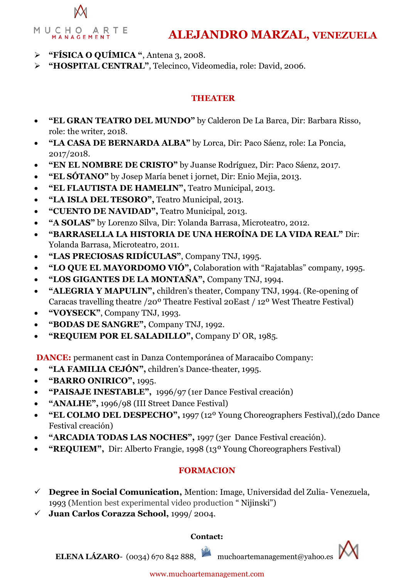

# **ALEJANDRO MARZAL, VENEZUELA**

- **"FÍSICA O QUÍMICA "**, Antena 3, 2008.
- **"HOSPITAL CENTRAL"**, Telecinco, Videomedia, role: David, 2006.

### **THEATER**

- **"EL GRAN TEATRO DEL MUNDO"** by Calderon De La Barca, Dir: Barbara Risso, role: the writer, 2018.
- **"LA CASA DE BERNARDA ALBA"** by Lorca, Dir: Paco Sáenz, role: La Poncia, 2017/2018.
- **"EN EL NOMBRE DE CRISTO"** by Juanse Rodríguez, Dir: Paco Sáenz, 2017.
- **"EL SÓTANO"** by Josep María benet i jornet, Dir: Enio Mejia, 2013.
- **"EL FLAUTISTA DE HAMELIN",** Teatro Municipal, 2013.
- **"LA ISLA DEL TESORO",** Teatro Municipal, 2013.
- **"CUENTO DE NAVIDAD",** Teatro Municipal, 2013.
- **"A SOLAS"** by Lorenzo Silva, Dir: Yolanda Barrasa, Microteatro, 2012.
- **"BARRASELLA LA HISTORIA DE UNA HEROÍNA DE LA VIDA REAL"** Dir: Yolanda Barrasa, Microteatro, 2011.
- **"LAS PRECIOSAS RIDÍCULAS"**, Company TNJ, 1995.
- **"LO QUE EL MAYORDOMO VIÓ",** Colaboration with "Rajatablas" company, 1995.
- **"LOS GIGANTES DE LA MONTAÑA",** Company TNJ, 1994.
- **"ALEGRIA Y MAPULIN",** children's theater, Company TNJ, 1994. (Re-opening of Caracas travelling theatre /20º Theatre Festival 20East / 12º West Theatre Festival)
- **"VOYSECK"**, Company TNJ, 1993.
- **"BODAS DE SANGRE",** Company TNJ, 1992.
- **"REQUIEM POR EL SALADILLO",** Company D' OR, 1985.

**DANCE:** permanent cast in Danza Contemporánea of Maracaibo Company:

- **"LA FAMILIA CEJÓN",** children's Dance-theater, 1995.
- **"BARRO ONIRICO",** 1995.
- **"PAISAJE INESTABLE",** 1996/97 (1er Dance Festival creación)
- **"ANALHE",** 1996/98 (III Street Dance Festival)
- **"EL COLMO DEL DESPECHO",** 1997 (12º Young Choreographers Festival),(2do Dance Festival creación)
- **"ARCADIA TODAS LAS NOCHES",** 1997 (3er Dance Festival creación).
- **"REQUIEM",** Dir: Alberto Frangie, 1998 (13º Young Choreographers Festival)

## **FORMACION**

- **Degree in Social Comunication,** Mention: Image, Universidad del Zulia- Venezuela, 1993 (Mention best experimental video production " Nijinski")
- **Juan Carlos Corazza School,** 1999/ 2004.

#### **Contact:**

**ELENA LÁZARO-** (0034) 670 842 888, muchoartemanagement@yahoo.es